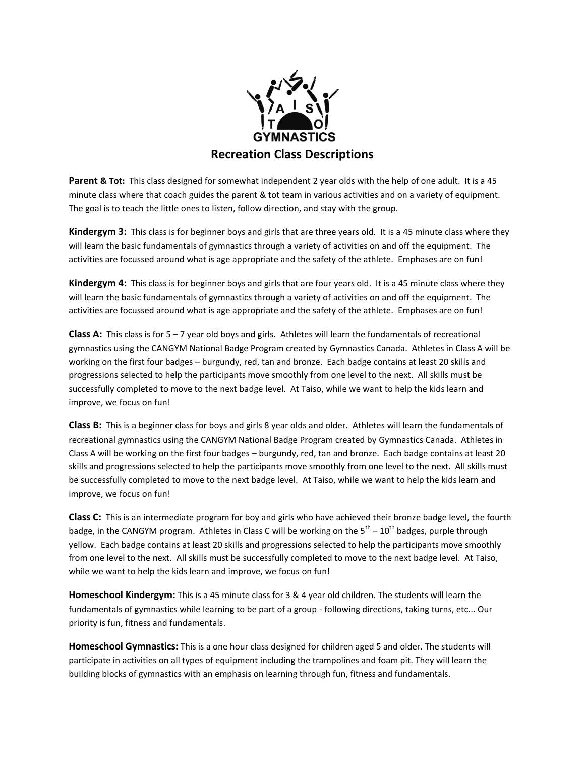

**Parent & Tot:** This class designed for somewhat independent 2 year olds with the help of one adult. It is a 45 minute class where that coach guides the parent & tot team in various activities and on a variety of equipment. The goal is to teach the little ones to listen, follow direction, and stay with the group.

**Kindergym 3:** This class is for beginner boys and girls that are three years old. It is a 45 minute class where they will learn the basic fundamentals of gymnastics through a variety of activities on and off the equipment. The activities are focussed around what is age appropriate and the safety of the athlete. Emphases are on fun!

**Kindergym 4:** This class is for beginner boys and girls that are four years old. It is a 45 minute class where they will learn the basic fundamentals of gymnastics through a variety of activities on and off the equipment. The activities are focussed around what is age appropriate and the safety of the athlete. Emphases are on fun!

**Class A:** This class is for 5 – 7 year old boys and girls. Athletes will learn the fundamentals of recreational gymnastics using the CANGYM National Badge Program created by Gymnastics Canada. Athletes in Class A will be working on the first four badges – burgundy, red, tan and bronze. Each badge contains at least 20 skills and progressions selected to help the participants move smoothly from one level to the next. All skills must be successfully completed to move to the next badge level. At Taiso, while we want to help the kids learn and improve, we focus on fun!

**Class B:** This is a beginner class for boys and girls 8 year olds and older. Athletes will learn the fundamentals of recreational gymnastics using the CANGYM National Badge Program created by Gymnastics Canada. Athletes in Class A will be working on the first four badges – burgundy, red, tan and bronze. Each badge contains at least 20 skills and progressions selected to help the participants move smoothly from one level to the next. All skills must be successfully completed to move to the next badge level. At Taiso, while we want to help the kids learn and improve, we focus on fun!

**Class C:** This is an intermediate program for boy and girls who have achieved their bronze badge level, the fourth badge, in the CANGYM program. Athletes in Class C will be working on the 5<sup>th</sup> – 10<sup>th</sup> badges, purple through yellow. Each badge contains at least 20 skills and progressions selected to help the participants move smoothly from one level to the next. All skills must be successfully completed to move to the next badge level. At Taiso, while we want to help the kids learn and improve, we focus on fun!

**Homeschool Kindergym:** This is a 45 minute class for 3 & 4 year old children. The students will learn the fundamentals of gymnastics while learning to be part of a group - following directions, taking turns, etc... Our priority is fun, fitness and fundamentals.

**Homeschool Gymnastics:** This is a one hour class designed for children aged 5 and older. The students will participate in activities on all types of equipment including the trampolines and foam pit. They will learn the building blocks of gymnastics with an emphasis on learning through fun, fitness and fundamentals.